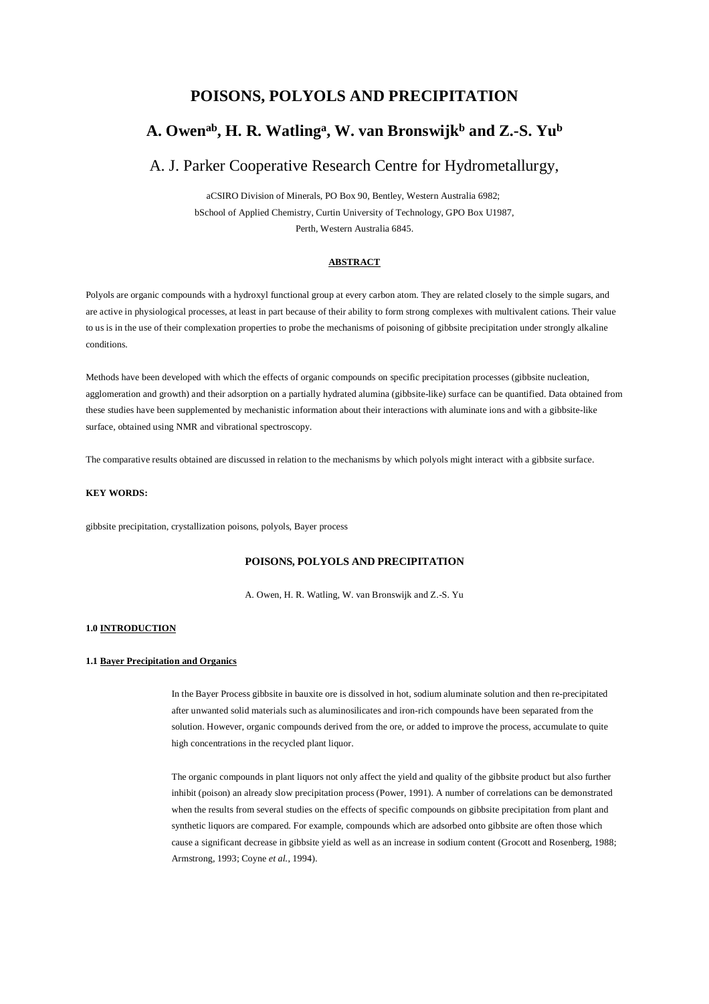# **POISONS, POLYOLS AND PRECIPITATION**

# **A. Owenab, H. R. Watling<sup>a</sup> , W. van Bronswijk<sup>b</sup> and Z.-S. Yu<sup>b</sup>**

# A. J. Parker Cooperative Research Centre for Hydrometallurgy,

aCSIRO Division of Minerals, PO Box 90, Bentley, Western Australia 6982; bSchool of Applied Chemistry, Curtin University of Technology, GPO Box U1987, Perth, Western Australia 6845.

# **ABSTRACT**

Polyols are organic compounds with a hydroxyl functional group at every carbon atom. They are related closely to the simple sugars, and are active in physiological processes, at least in part because of their ability to form strong complexes with multivalent cations. Their value to us is in the use of their complexation properties to probe the mechanisms of poisoning of gibbsite precipitation under strongly alkaline conditions.

Methods have been developed with which the effects of organic compounds on specific precipitation processes (gibbsite nucleation, agglomeration and growth) and their adsorption on a partially hydrated alumina (gibbsite-like) surface can be quantified. Data obtained from these studies have been supplemented by mechanistic information about their interactions with aluminate ions and with a gibbsite-like surface, obtained using NMR and vibrational spectroscopy.

The comparative results obtained are discussed in relation to the mechanisms by which polyols might interact with a gibbsite surface.

# **KEY WORDS:**

gibbsite precipitation, crystallization poisons, polyols, Bayer process

# **POISONS, POLYOLS AND PRECIPITATION**

A. Owen, H. R. Watling, W. van Bronswijk and Z.-S. Yu

### **1.0 INTRODUCTION**

#### **1.1 Bayer Precipitation and Organics**

In the Bayer Process gibbsite in bauxite ore is dissolved in hot, sodium aluminate solution and then re-precipitated after unwanted solid materials such as aluminosilicates and iron-rich compounds have been separated from the solution. However, organic compounds derived from the ore, or added to improve the process, accumulate to quite high concentrations in the recycled plant liquor.

The organic compounds in plant liquors not only affect the yield and quality of the gibbsite product but also further inhibit (poison) an already slow precipitation process (Power, 1991). A number of correlations can be demonstrated when the results from several studies on the effects of specific compounds on gibbsite precipitation from plant and synthetic liquors are compared. For example, compounds which are adsorbed onto gibbsite are often those which cause a significant decrease in gibbsite yield as well as an increase in sodium content (Grocott and Rosenberg, 1988; Armstrong, 1993; Coyne *et al.*, 1994).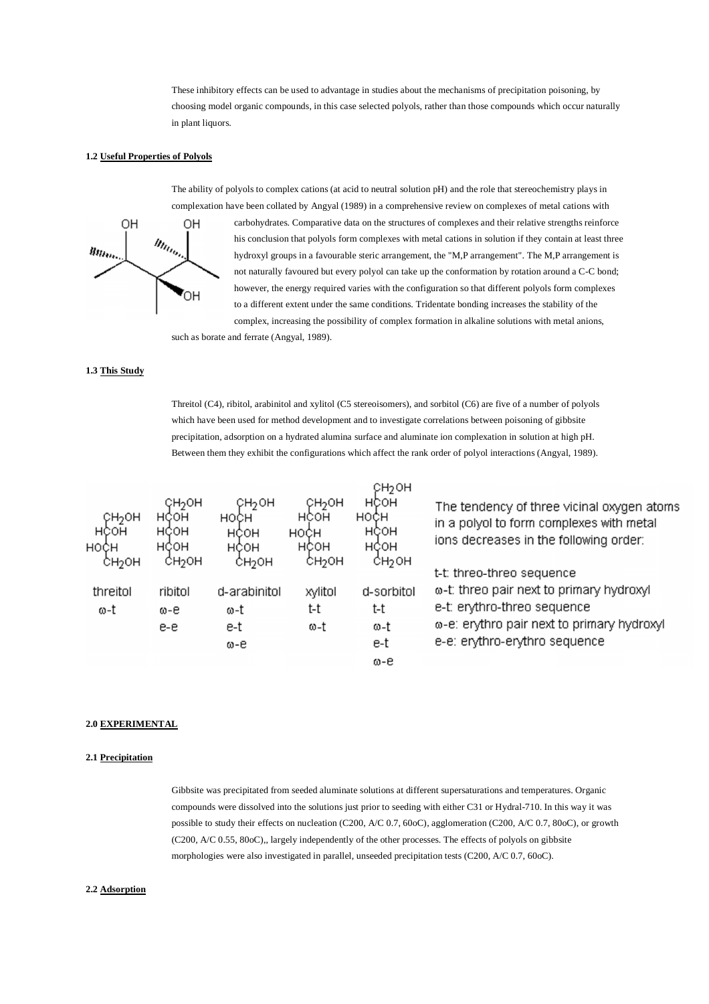These inhibitory effects can be used to advantage in studies about the mechanisms of precipitation poisoning, by choosing model organic compounds, in this case selected polyols, rather than those compounds which occur naturally in plant liquors.

## **1.2 Useful Properties of Polyols**



The ability of polyols to complex cations (at acid to neutral solution pH) and the role that stereochemistry plays in complexation have been collated by Angyal (1989) in a comprehensive review on complexes of metal cations with carbohydrates. Comparative data on the structures of complexes and their relative strengths reinforce his conclusion that polyols form complexes with metal cations in solution if they contain at least three hydroxyl groups in a favourable steric arrangement, the "M,P arrangement". The M,P arrangement is not naturally favoured but every polyol can take up the conformation by rotation around a C-C bond; however, the energy required varies with the configuration so that different polyols form complexes to a different extent under the same conditions. Tridentate bonding increases the stability of the complex, increasing the possibility of complex formation in alkaline solutions with metal anions,

such as borate and ferrate (Angyal, 1989).

# **1.3 This Study**

Threitol (C4), ribitol, arabinitol and xylitol (C5 stereoisomers), and sorbitol (C6) are five of a number of polyols which have been used for method development and to investigate correlations between poisoning of gibbsite precipitation, adsorption on a hydrated alumina surface and aluminate ion complexation in solution at high pH. Between them they exhibit the configurations which affect the rank order of polyol interactions (Angyal, 1989).

| CH <sub>2</sub> OH<br>HCOH<br><b>HOCH</b><br>СНЭОН | ҀН <sub>2</sub> ОН<br>HCOH<br>HCOH<br>HCOH<br>СН2ОН | СН2ОН<br>HOCH<br>HÇOH<br>HCOH<br>СНЭОН | СНЭОН<br>HCOH<br>HOCH<br>нсон<br>сноон | CH <sub>2</sub> OH<br>нсон<br>но¢н<br>HÇOH<br>HCOH<br>СН2ОН | The tendency of three vicinal oxygen atoms<br>in a polyol to form complexes with metal<br>ions decreases in the following order:<br>t-t: threo-threo sequence |
|----------------------------------------------------|-----------------------------------------------------|----------------------------------------|----------------------------------------|-------------------------------------------------------------|---------------------------------------------------------------------------------------------------------------------------------------------------------------|
| threitol<br>ω-t                                    | ribitol<br>ω-е<br>e-e                               | d-arabinitol<br>ω-t<br>e-t<br>ω-e      | xylitol<br>t-t<br>ω-t                  | d-sorbitol<br>t-t<br>ω-t<br>e-t<br>ω-е                      | ω-t: threo pair next to primary hydroxyl<br>e-t: erythro-threo sequence<br>ω-e: erythro pair next to primary hydroxyl<br>e-e: erythro-erythro sequence        |

## **2.0 EXPERIMENTAL**

# **2.1 Precipitation**

Gibbsite was precipitated from seeded aluminate solutions at different supersaturations and temperatures. Organic compounds were dissolved into the solutions just prior to seeding with either C31 or Hydral-710. In this way it was possible to study their effects on nucleation (C200, A/C 0.7, 60oC), agglomeration (C200, A/C 0.7, 80oC), or growth (C200, A/C 0.55, 80oC),, largely independently of the other processes. The effects of polyols on gibbsite morphologies were also investigated in parallel, unseeded precipitation tests (C200, A/C 0.7, 60oC).

#### **2.2 Adsorption**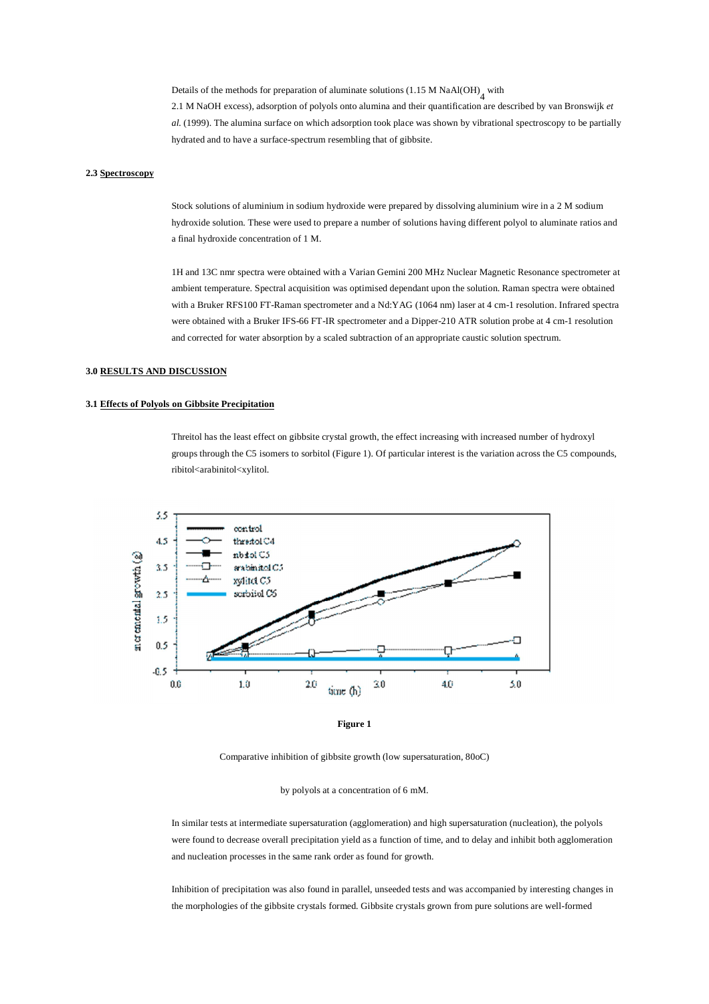Details of the methods for preparation of aluminate solutions (1.15 M NaAl(OH)<sub>4</sub> with

2.1 M NaOH excess), adsorption of polyols onto alumina and their quantification are described by van Bronswijk *et al.* (1999). The alumina surface on which adsorption took place was shown by vibrational spectroscopy to be partially hydrated and to have a surface-spectrum resembling that of gibbsite.

#### **2.3 Spectroscopy**

Stock solutions of aluminium in sodium hydroxide were prepared by dissolving aluminium wire in a 2 M sodium hydroxide solution. These were used to prepare a number of solutions having different polyol to aluminate ratios and a final hydroxide concentration of 1 M.

1H and 13C nmr spectra were obtained with a Varian Gemini 200 MHz Nuclear Magnetic Resonance spectrometer at ambient temperature. Spectral acquisition was optimised dependant upon the solution. Raman spectra were obtained with a Bruker RFS100 FT-Raman spectrometer and a Nd:YAG (1064 nm) laser at 4 cm-1 resolution. Infrared spectra were obtained with a Bruker IFS-66 FT-IR spectrometer and a Dipper-210 ATR solution probe at 4 cm-1 resolution and corrected for water absorption by a scaled subtraction of an appropriate caustic solution spectrum.

# **3.0 RESULTS AND DISCUSSION**

### **3.1 Effects of Polyols on Gibbsite Precipitation**

Threitol has the least effect on gibbsite crystal growth, the effect increasing with increased number of hydroxyl groups through the C5 isomers to sorbitol (Figure 1). Of particular interest is the variation across the C5 compounds, ribitol<arabinitol<xylitol.





Comparative inhibition of gibbsite growth (low supersaturation, 80oC)

#### by polyols at a concentration of 6 mM.

In similar tests at intermediate supersaturation (agglomeration) and high supersaturation (nucleation), the polyols were found to decrease overall precipitation yield as a function of time, and to delay and inhibit both agglomeration and nucleation processes in the same rank order as found for growth.

Inhibition of precipitation was also found in parallel, unseeded tests and was accompanied by interesting changes in the morphologies of the gibbsite crystals formed. Gibbsite crystals grown from pure solutions are well-formed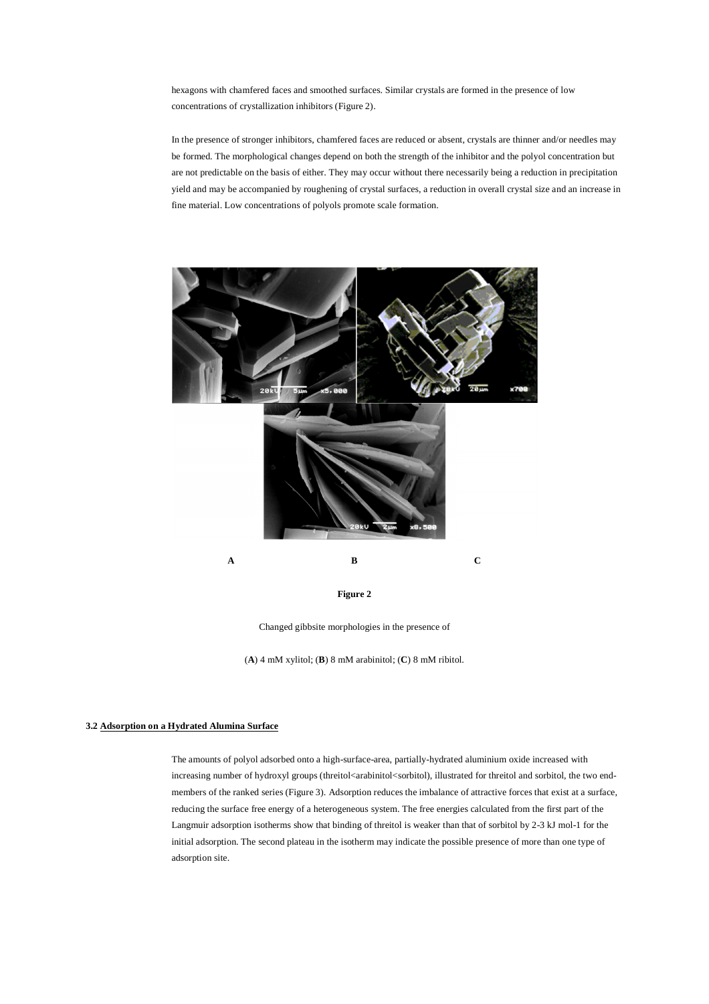hexagons with chamfered faces and smoothed surfaces. Similar crystals are formed in the presence of low concentrations of crystallization inhibitors (Figure 2).

In the presence of stronger inhibitors, chamfered faces are reduced or absent, crystals are thinner and/or needles may be formed. The morphological changes depend on both the strength of the inhibitor and the polyol concentration but are not predictable on the basis of either. They may occur without there necessarily being a reduction in precipitation yield and may be accompanied by roughening of crystal surfaces, a reduction in overall crystal size and an increase in fine material. Low concentrations of polyols promote scale formation.



Changed gibbsite morphologies in the presence of

(**A**) 4 mM xylitol; (**B**) 8 mM arabinitol; (**C**) 8 mM ribitol.

# **3.2 Adsorption on a Hydrated Alumina Surface**

The amounts of polyol adsorbed onto a high-surface-area, partially-hydrated aluminium oxide increased with increasing number of hydroxyl groups (threitol<arabinitol<sorbitol), illustrated for threitol and sorbitol, the two endmembers of the ranked series (Figure 3). Adsorption reduces the imbalance of attractive forces that exist at a surface, reducing the surface free energy of a heterogeneous system. The free energies calculated from the first part of the Langmuir adsorption isotherms show that binding of threitol is weaker than that of sorbitol by 2-3 kJ mol-1 for the initial adsorption. The second plateau in the isotherm may indicate the possible presence of more than one type of adsorption site.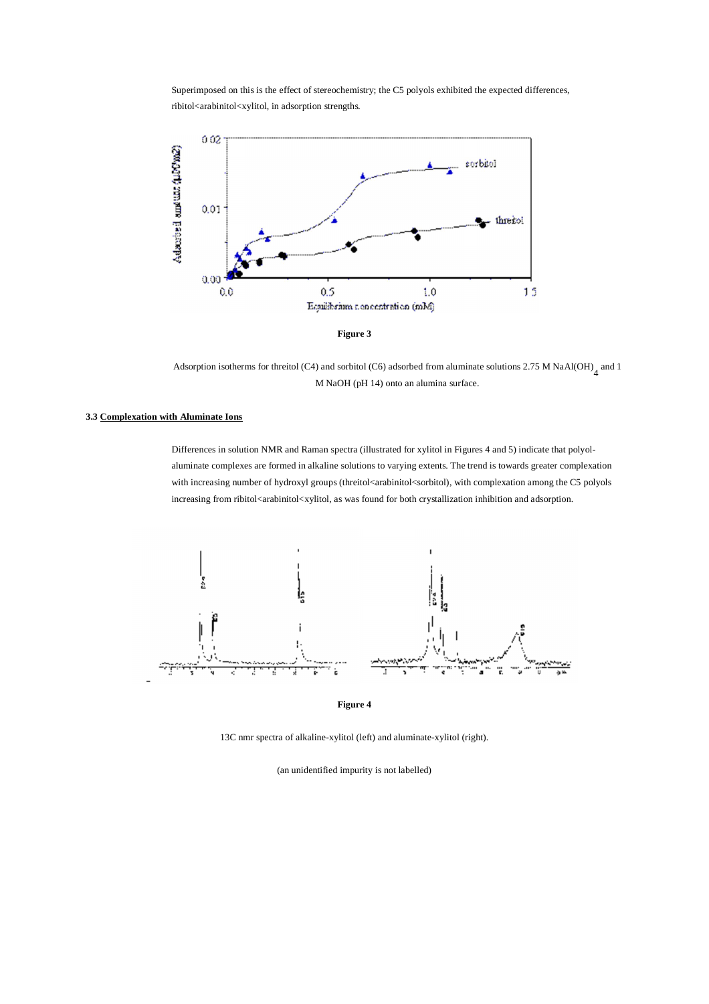Superimposed on this is the effect of stereochemistry; the C5 polyols exhibited the expected differences, ribitol<arabinitol<xylitol, in adsorption strengths*.*



Adsorption isotherms for threitol (C4) and sorbitol (C6) adsorbed from aluminate solutions 2.75 M NaAl(OH)<sub>4</sub> and 1 M NaOH (pH 14) onto an alumina surface.

### **3.3 Complexation with Aluminate Ions**

Differences in solution NMR and Raman spectra (illustrated for xylitol in Figures 4 and 5) indicate that polyolaluminate complexes are formed in alkaline solutions to varying extents. The trend is towards greater complexation with increasing number of hydroxyl groups (threitol<arabinitol<sorbitol), with complexation among the C5 polyols increasing from ribitol $\lt$ arabinitol $\lt$ xylitol, as was found for both crystallization inhibition and adsorption.



**Figure 4**

13C nmr spectra of alkaline-xylitol (left) and aluminate-xylitol (right).

(an unidentified impurity is not labelled)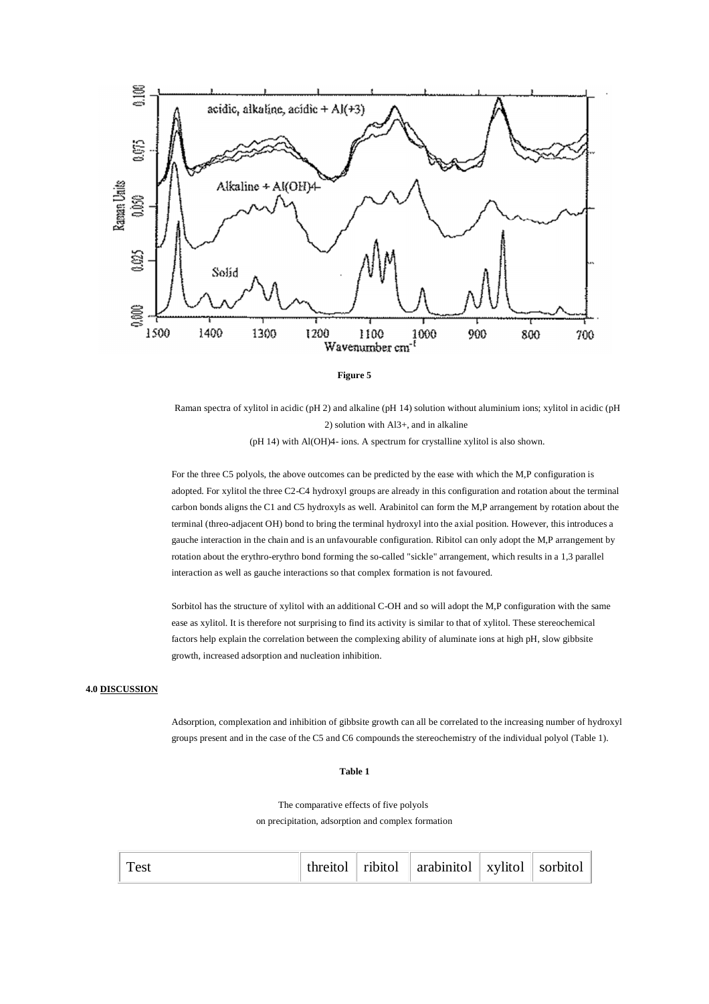



Raman spectra of xylitol in acidic (pH 2) and alkaline (pH 14) solution without aluminium ions; xylitol in acidic (pH 2) solution with Al3+, and in alkaline (pH 14) with Al(OH)4- ions. A spectrum for crystalline xylitol is also shown.

For the three C5 polyols, the above outcomes can be predicted by the ease with which the M,P configuration is adopted. For xylitol the three C2-C4 hydroxyl groups are already in this configuration and rotation about the terminal carbon bonds aligns the C1 and C5 hydroxyls as well. Arabinitol can form the M,P arrangement by rotation about the terminal (threo-adjacent OH) bond to bring the terminal hydroxyl into the axial position. However, this introduces a gauche interaction in the chain and is an unfavourable configuration. Ribitol can only adopt the M,P arrangement by rotation about the erythro-erythro bond forming the so-called "sickle" arrangement, which results in a 1,3 parallel interaction as well as gauche interactions so that complex formation is not favoured.

Sorbitol has the structure of xylitol with an additional C-OH and so will adopt the M,P configuration with the same ease as xylitol. It is therefore not surprising to find its activity is similar to that of xylitol. These stereochemical factors help explain the correlation between the complexing ability of aluminate ions at high pH, slow gibbsite growth, increased adsorption and nucleation inhibition.

# **4.0 DISCUSSION**

Adsorption, complexation and inhibition of gibbsite growth can all be correlated to the increasing number of hydroxyl groups present and in the case of the C5 and C6 compounds the stereochemistry of the individual polyol (Table 1).

#### **Table 1**

The comparative effects of five polyols on precipitation, adsorption and complex formation

| `est |  |  | threitol   ribitol   arabinitol   xylitol   sorbitol |  |  |
|------|--|--|------------------------------------------------------|--|--|
|------|--|--|------------------------------------------------------|--|--|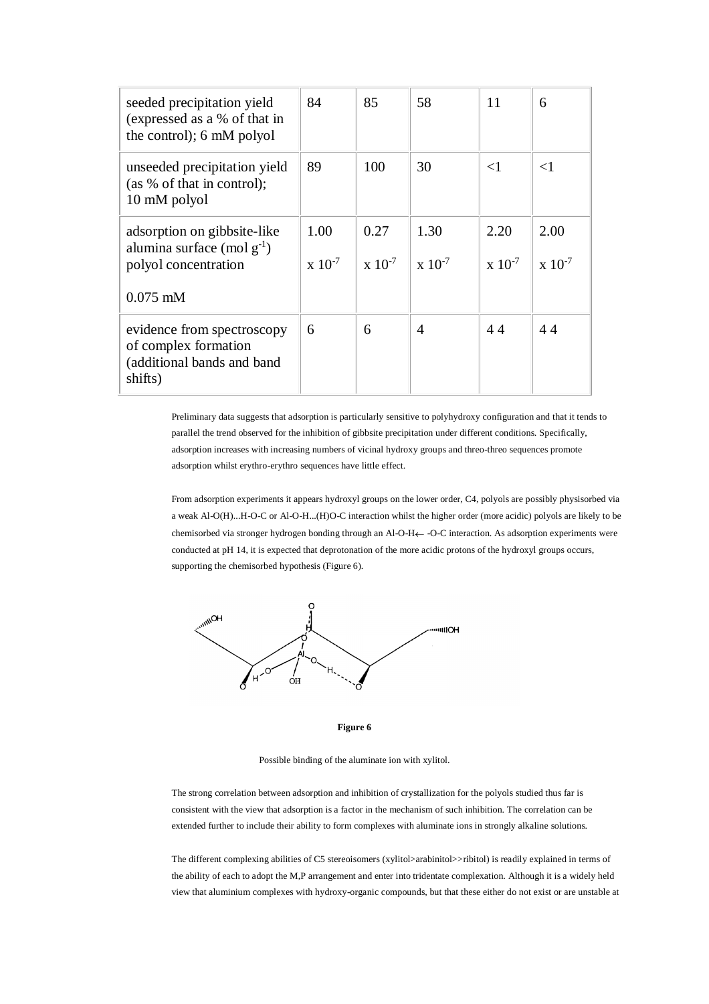| seeded precipitation yield<br>(expressed as a % of that in<br>the control); 6 mM polyol              | 84                      | 85                  | 58                    | 11                      | 6                       |
|------------------------------------------------------------------------------------------------------|-------------------------|---------------------|-----------------------|-------------------------|-------------------------|
| unseeded precipitation yield<br>(as % of that in control);<br>10 mM polyol                           | 89                      | 100                 | 30                    | $\leq$ 1                | $\leq$ 1                |
| adsorption on gibbsite-like<br>alumina surface (mol $g^{-1}$ )<br>polyol concentration<br>$0.075$ mM | 1.00<br>$\rm x 10^{-7}$ | 0.27<br>$x 10^{-7}$ | 1.30<br>$x \ 10^{-7}$ | 2.20<br>$\rm x 10^{-7}$ | 2.00<br>$\rm x 10^{-7}$ |
| evidence from spectroscopy<br>of complex formation<br>(additional bands and band<br>shifts)          | 6                       | 6                   | 4                     | 44                      | 44                      |

Preliminary data suggests that adsorption is particularly sensitive to polyhydroxy configuration and that it tends to parallel the trend observed for the inhibition of gibbsite precipitation under different conditions. Specifically, adsorption increases with increasing numbers of vicinal hydroxy groups and threo-threo sequences promote adsorption whilst erythro-erythro sequences have little effect.

From adsorption experiments it appears hydroxyl groups on the lower order, C4, polyols are possibly physisorbed via a weak Al-O(H)...H-O-C or Al-O-H...(H)O-C interaction whilst the higher order (more acidic) polyols are likely to be chemisorbed via stronger hydrogen bonding through an Al-O-H  $\leftarrow$  -O-C interaction. As adsorption experiments were conducted at pH 14, it is expected that deprotonation of the more acidic protons of the hydroxyl groups occurs, supporting the chemisorbed hypothesis (Figure 6).



**Figure 6**

Possible binding of the aluminate ion with xylitol.

The strong correlation between adsorption and inhibition of crystallization for the polyols studied thus far is consistent with the view that adsorption is a factor in the mechanism of such inhibition. The correlation can be extended further to include their ability to form complexes with aluminate ions in strongly alkaline solutions.

The different complexing abilities of C5 stereoisomers (xylitol>arabinitol>>ribitol) is readily explained in terms of the ability of each to adopt the M,P arrangement and enter into tridentate complexation. Although it is a widely held view that aluminium complexes with hydroxy-organic compounds, but that these either do not exist or are unstable at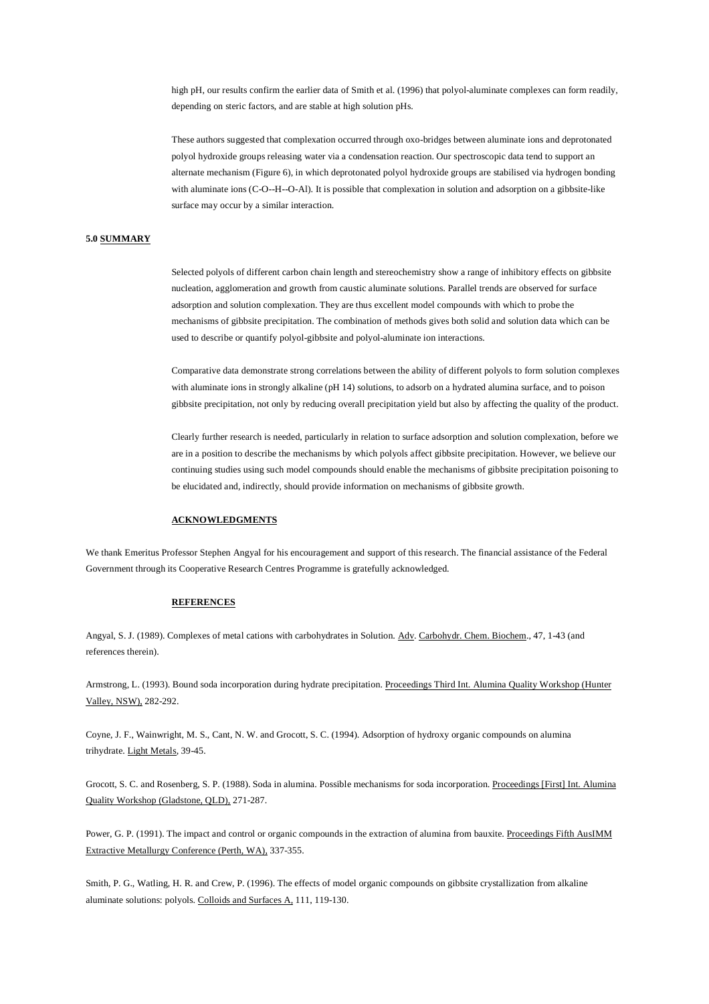high pH, our results confirm the earlier data of Smith et al. (1996) that polyol-aluminate complexes can form readily, depending on steric factors, and are stable at high solution pHs.

These authors suggested that complexation occurred through oxo-bridges between aluminate ions and deprotonated polyol hydroxide groups releasing water via a condensation reaction. Our spectroscopic data tend to support an alternate mechanism (Figure 6), in which deprotonated polyol hydroxide groups are stabilised via hydrogen bonding with aluminate ions (C-O--H--O-Al). It is possible that complexation in solution and adsorption on a gibbsite-like surface may occur by a similar interaction.

# **5.0 SUMMARY**

Selected polyols of different carbon chain length and stereochemistry show a range of inhibitory effects on gibbsite nucleation, agglomeration and growth from caustic aluminate solutions. Parallel trends are observed for surface adsorption and solution complexation. They are thus excellent model compounds with which to probe the mechanisms of gibbsite precipitation. The combination of methods gives both solid and solution data which can be used to describe or quantify polyol-gibbsite and polyol-aluminate ion interactions.

Comparative data demonstrate strong correlations between the ability of different polyols to form solution complexes with aluminate ions in strongly alkaline (pH 14) solutions, to adsorb on a hydrated alumina surface, and to poison gibbsite precipitation, not only by reducing overall precipitation yield but also by affecting the quality of the product.

Clearly further research is needed, particularly in relation to surface adsorption and solution complexation, before we are in a position to describe the mechanisms by which polyols affect gibbsite precipitation. However, we believe our continuing studies using such model compounds should enable the mechanisms of gibbsite precipitation poisoning to be elucidated and, indirectly, should provide information on mechanisms of gibbsite growth.

## **ACKNOWLEDGMENTS**

We thank Emeritus Professor Stephen Angyal for his encouragement and support of this research. The financial assistance of the Federal Government through its Cooperative Research Centres Programme is gratefully acknowledged.

#### **REFERENCES**

Angyal, S. J. (1989). Complexes of metal cations with carbohydrates in Solution. Adv. Carbohydr. Chem. Biochem., 47, 1-43 (and references therein).

Armstrong, L. (1993). Bound soda incorporation during hydrate precipitation. Proceedings Third Int. Alumina Quality Workshop (Hunter Valley, NSW), 282-292.

Coyne, J. F., Wainwright, M. S., Cant, N. W. and Grocott, S. C. (1994). Adsorption of hydroxy organic compounds on alumina trihydrate. Light Metals, 39-45.

Grocott, S. C. and Rosenberg, S. P. (1988). Soda in alumina. Possible mechanisms for soda incorporation. Proceedings [First] Int. Alumina Quality Workshop (Gladstone, QLD), 271-287.

Power, G. P. (1991). The impact and control or organic compounds in the extraction of alumina from bauxite. Proceedings Fifth AusIMM Extractive Metallurgy Conference (Perth, WA), 337-355.

Smith, P. G., Watling, H. R. and Crew, P. (1996). The effects of model organic compounds on gibbsite crystallization from alkaline aluminate solutions: polyols. Colloids and Surfaces A, 111, 119-130.